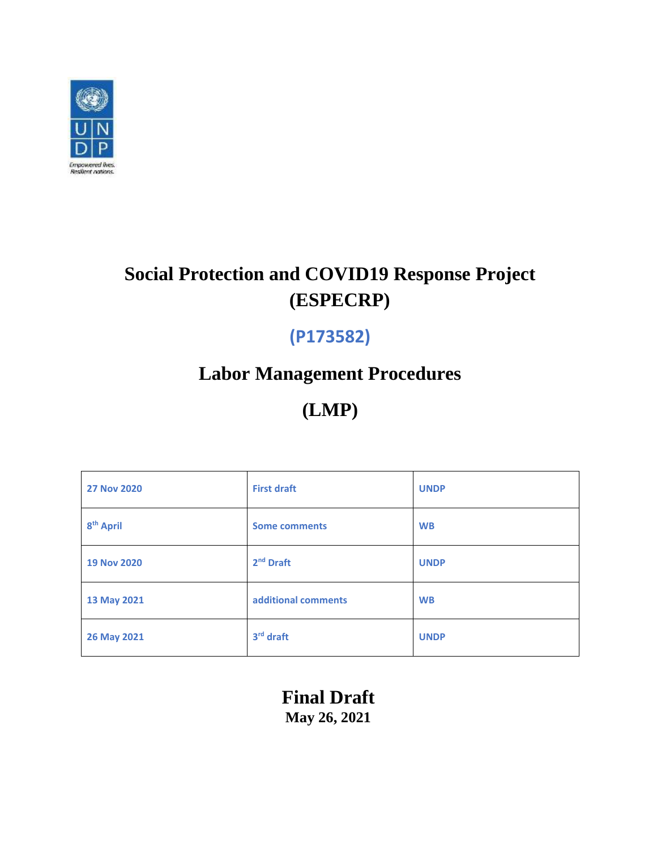

# **Social Protection and COVID19 Response Project (ESPECRP)**

# **(P173582)**

# **Labor Management Procedures**

**(LMP)**

| <b>27 Nov 2020</b>    | <b>First draft</b>    | <b>UNDP</b> |
|-----------------------|-----------------------|-------------|
| 8 <sup>th</sup> April | <b>Some comments</b>  | <b>WB</b>   |
| <b>19 Nov 2020</b>    | 2 <sup>nd</sup> Draft | <b>UNDP</b> |
| 13 May 2021           | additional comments   | <b>WB</b>   |
| 26 May 2021           | 3rd draft             | <b>UNDP</b> |

**Final Draft May 26, 2021**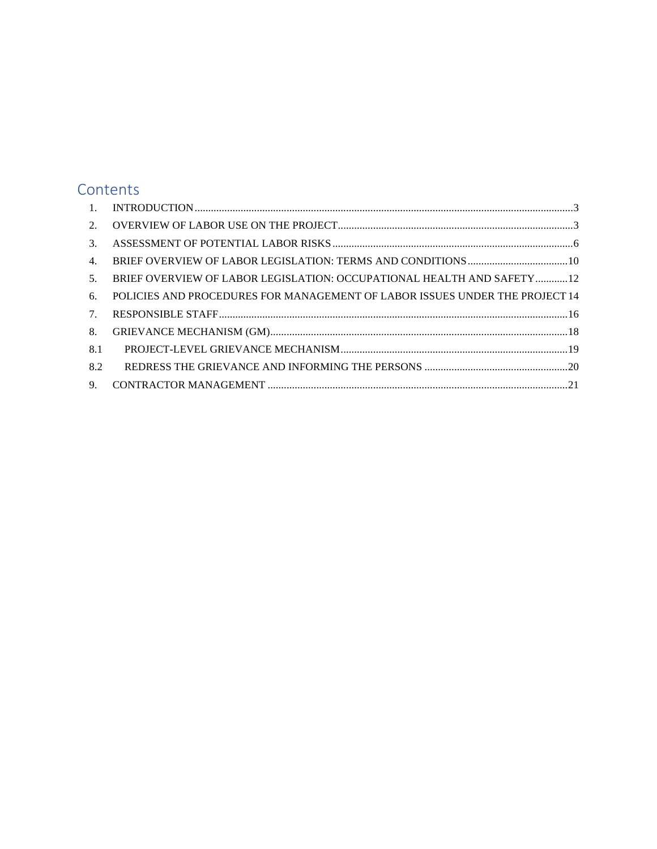# **Contents**

| 3.                               |                                                                             |
|----------------------------------|-----------------------------------------------------------------------------|
| 4 <sub>1</sub>                   |                                                                             |
| 5.                               | BRIEF OVERVIEW OF LABOR LEGISLATION: OCCUPATIONAL HEALTH AND SAFETY12       |
| 6.                               | POLICIES AND PROCEDURES FOR MANAGEMENT OF LABOR ISSUES UNDER THE PROJECT 14 |
| $7_{\scriptscriptstyle{\ddots}}$ |                                                                             |
| 8.                               |                                                                             |
| 8.1                              |                                                                             |
| 8.2                              |                                                                             |
| 9 <sub>1</sub>                   |                                                                             |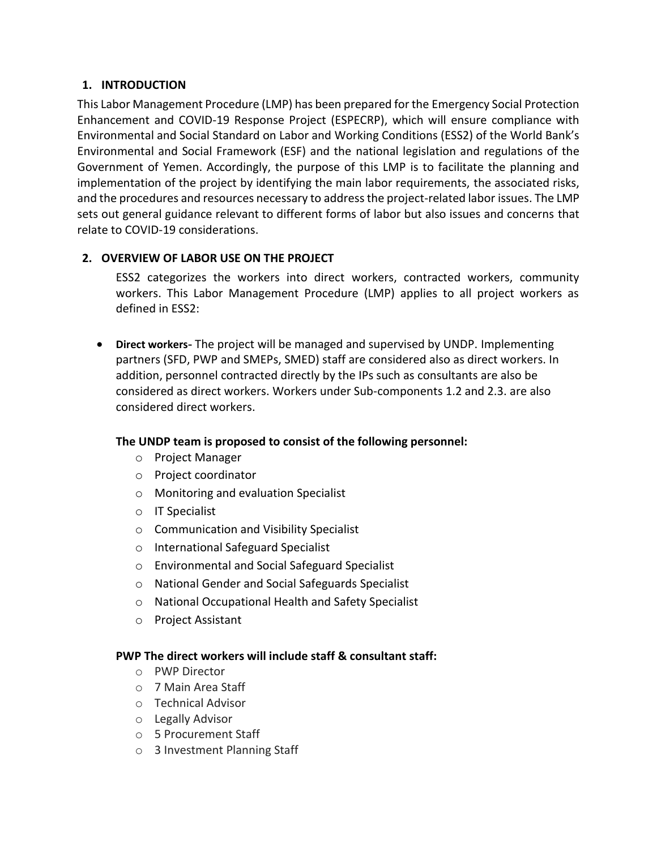## <span id="page-2-0"></span>**1. INTRODUCTION**

This Labor Management Procedure (LMP) has been prepared for the Emergency Social Protection Enhancement and COVID-19 Response Project (ESPECRP), which will ensure compliance with Environmental and Social Standard on Labor and Working Conditions (ESS2) of the World Bank's Environmental and Social Framework (ESF) and the national legislation and regulations of the Government of Yemen. Accordingly, the purpose of this LMP is to facilitate the planning and implementation of the project by identifying the main labor requirements, the associated risks, and the procedures and resources necessary to address the project-related labor issues. The LMP sets out general guidance relevant to different forms of labor but also issues and concerns that relate to COVID-19 considerations.

# <span id="page-2-1"></span>**2. OVERVIEW OF LABOR USE ON THE PROJECT**

ESS2 categorizes the workers into direct workers, contracted workers, community workers. This Labor Management Procedure (LMP) applies to all project workers as defined in ESS2:

• **Direct workers-** The project will be managed and supervised by UNDP. Implementing partners (SFD, PWP and SMEPs, SMED) staff are considered also as direct workers. In addition, personnel contracted directly by the IPs such as consultants are also be considered as direct workers. Workers under Sub-components 1.2 and 2.3. are also considered direct workers.

### **The UNDP team is proposed to consist of the following personnel:**

- o Project Manager
- o Project coordinator
- o Monitoring and evaluation Specialist
- o IT Specialist
- o Communication and Visibility Specialist
- o International Safeguard Specialist
- o Environmental and Social Safeguard Specialist
- o National Gender and Social Safeguards Specialist
- o National Occupational Health and Safety Specialist
- o Project Assistant

### **PWP The direct workers will include staff & consultant staff:**

- o PWP Director
- o 7 Main Area Staff
- o Technical Advisor
- o Legally Advisor
- o 5 Procurement Staff
- o 3 Investment Planning Staff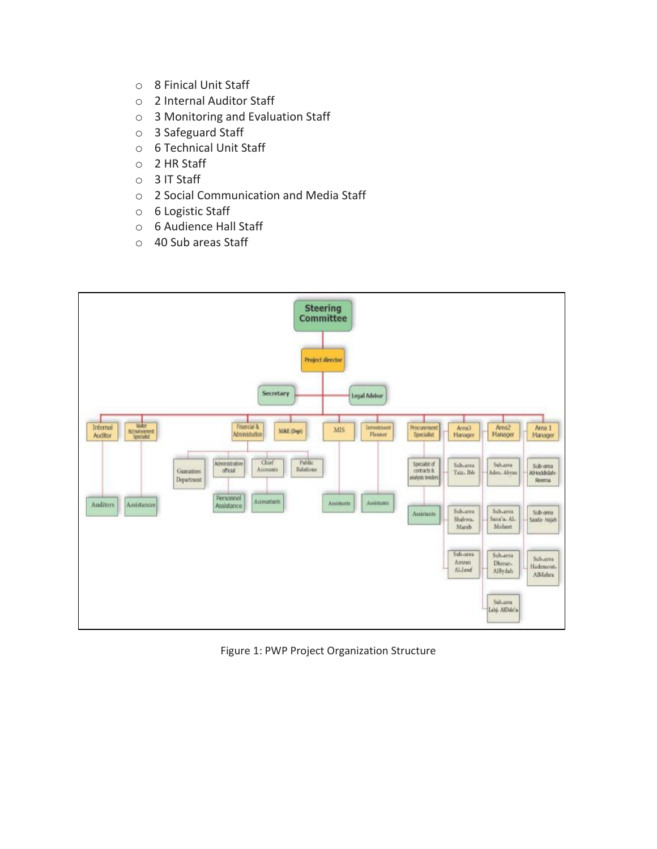- o 8 Finical Unit Staff
- o 2 Internal Auditor Staff
- o 3 Monitoring and Evaluation Staff
- o 3 Safeguard Staff
- o 6 Technical Unit Staff
- o 2 HR Staff
- o 3 IT Staff
- o 2 Social Communication and Media Staff
- o 6 Logistic Staff
- o 6 Audience Hall Staff
- o 40 Sub areas Staff



Figure 1: PWP Project Organization Structure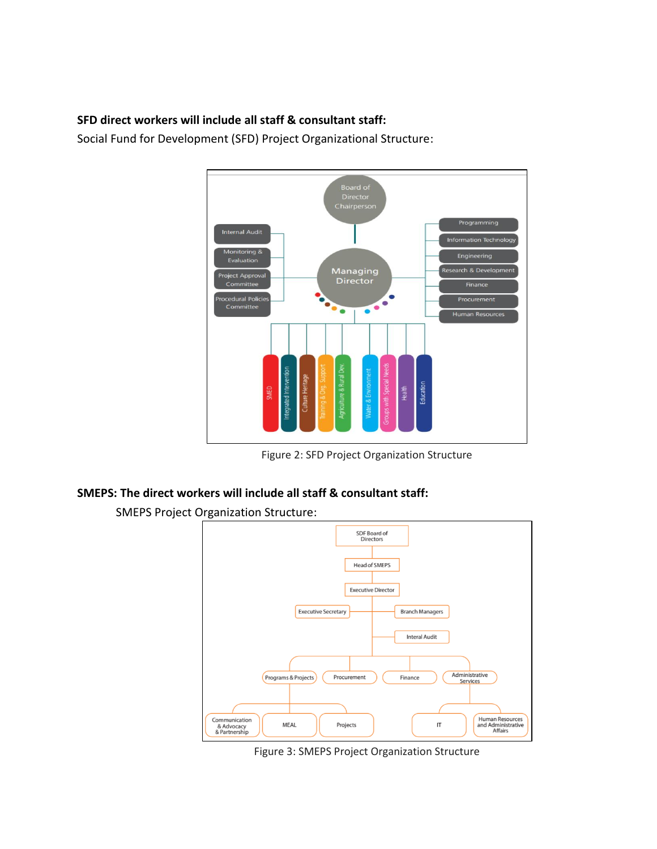## **SFD direct workers will include all staff & consultant staff:**

Social Fund for Development (SFD) Project Organizational Structure:



Figure 2: SFD Project Organization Structure

### **SMEPS: The direct workers will include all staff & consultant staff:**

SMEPS Project Organization Structure:



Figure 3: SMEPS Project Organization Structure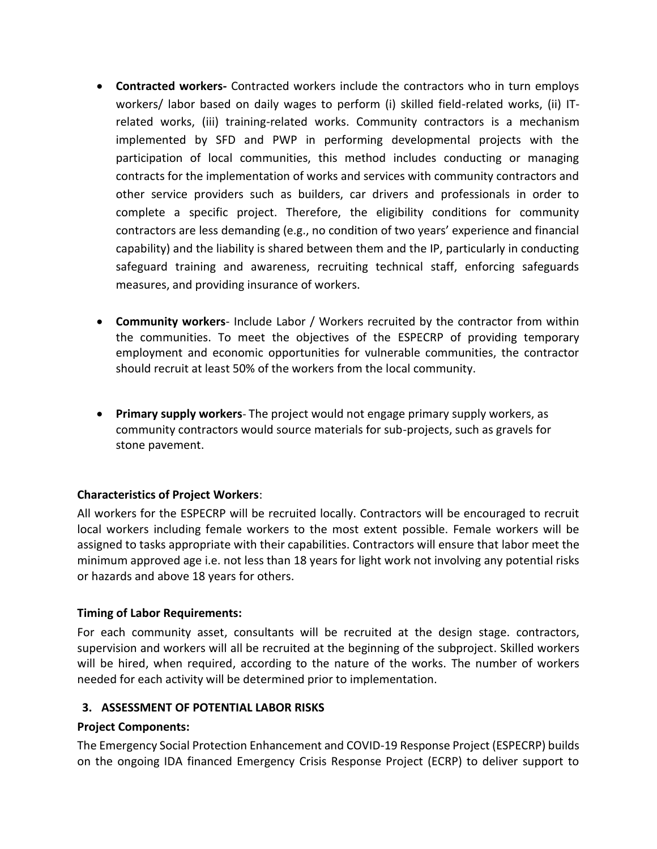- **Contracted workers-** Contracted workers include the contractors who in turn employs workers/ labor based on daily wages to perform (i) skilled field-related works, (ii) ITrelated works, (iii) training-related works. Community contractors is a mechanism implemented by SFD and PWP in performing developmental projects with the participation of local communities, this method includes conducting or managing contracts for the implementation of works and services with community contractors and other service providers such as builders, car drivers and professionals in order to complete a specific project. Therefore, the eligibility conditions for community contractors are less demanding (e.g., no condition of two years' experience and financial capability) and the liability is shared between them and the IP, particularly in conducting safeguard training and awareness, recruiting technical staff, enforcing safeguards measures, and providing insurance of workers.
- **Community workers** Include Labor / Workers recruited by the contractor from within the communities. To meet the objectives of the ESPECRP of providing temporary employment and economic opportunities for vulnerable communities, the contractor should recruit at least 50% of the workers from the local community.
- **Primary supply workers** The project would not engage primary supply workers, as community contractors would source materials for sub-projects, such as gravels for stone pavement.

### **Characteristics of Project Workers**:

All workers for the ESPECRP will be recruited locally. Contractors will be encouraged to recruit local workers including female workers to the most extent possible. Female workers will be assigned to tasks appropriate with their capabilities. Contractors will ensure that labor meet the minimum approved age i.e. not less than 18 years for light work not involving any potential risks or hazards and above 18 years for others.

### **Timing of Labor Requirements:**

For each community asset, consultants will be recruited at the design stage. contractors, supervision and workers will all be recruited at the beginning of the subproject. Skilled workers will be hired, when required, according to the nature of the works. The number of workers needed for each activity will be determined prior to implementation.

### <span id="page-5-0"></span>**3. ASSESSMENT OF POTENTIAL LABOR RISKS**

#### **Project Components:**

The Emergency Social Protection Enhancement and COVID-19 Response Project (ESPECRP) builds on the ongoing IDA financed Emergency Crisis Response Project (ECRP) to deliver support to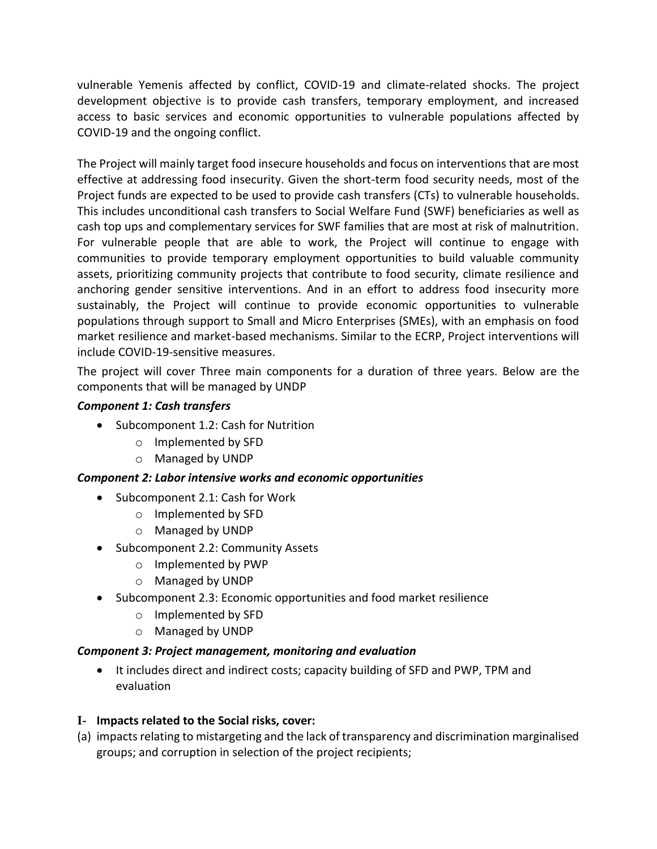vulnerable Yemenis affected by conflict, COVID-19 and climate-related shocks. The project development objective is to provide cash transfers, temporary employment, and increased access to basic services and economic opportunities to vulnerable populations affected by COVID-19 and the ongoing conflict.

The Project will mainly target food insecure households and focus on interventions that are most effective at addressing food insecurity. Given the short-term food security needs, most of the Project funds are expected to be used to provide cash transfers (CTs) to vulnerable households. This includes unconditional cash transfers to Social Welfare Fund (SWF) beneficiaries as well as cash top ups and complementary services for SWF families that are most at risk of malnutrition. For vulnerable people that are able to work, the Project will continue to engage with communities to provide temporary employment opportunities to build valuable community assets, prioritizing community projects that contribute to food security, climate resilience and anchoring gender sensitive interventions. And in an effort to address food insecurity more sustainably, the Project will continue to provide economic opportunities to vulnerable populations through support to Small and Micro Enterprises (SMEs), with an emphasis on food market resilience and market-based mechanisms. Similar to the ECRP, Project interventions will include COVID-19-sensitive measures.

The project will cover Three main components for a duration of three years. Below are the components that will be managed by UNDP

#### *Component 1: Cash transfers*

- Subcomponent 1.2: Cash for Nutrition
	- o Implemented by SFD
	- o Managed by UNDP

#### *Component 2: Labor intensive works and economic opportunities*

- Subcomponent 2.1: Cash for Work
	- o Implemented by SFD
	- o Managed by UNDP
- Subcomponent 2.2: Community Assets
	- o Implemented by PWP
	- o Managed by UNDP
- Subcomponent 2.3: Economic opportunities and food market resilience
	- o Implemented by SFD
	- o Managed by UNDP

#### *Component 3: Project management, monitoring and evaluation*

• It includes direct and indirect costs; capacity building of SFD and PWP, TPM and evaluation

#### **I- Impacts related to the Social risks, cover:**

(a) impacts relating to mistargeting and the lack of transparency and discrimination marginalised groups; and corruption in selection of the project recipients;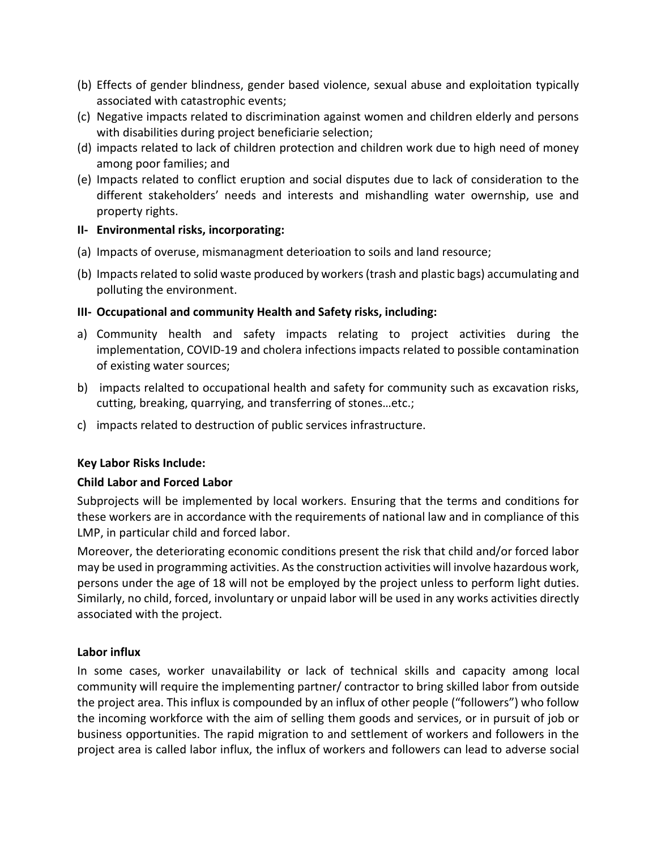- (b) Effects of gender blindness, gender based violence, sexual abuse and exploitation typically associated with catastrophic events;
- (c) Negative impacts related to discrimination against women and children elderly and persons with disabilities during project beneficiarie selection;
- (d) impacts related to lack of children protection and children work due to high need of money among poor families; and
- (e) Impacts related to conflict eruption and social disputes due to lack of consideration to the different stakeholders' needs and interests and mishandling water owernship, use and property rights.

#### **II- Environmental risks, incorporating:**

- (a) Impacts of overuse, mismanagment deterioation to soils and land resource;
- (b) Impacts related to solid waste produced by workers (trash and plastic bags) accumulating and polluting the environment.

#### **III- Occupational and community Health and Safety risks, including:**

- a) Community health and safety impacts relating to project activities during the implementation, COVID-19 and cholera infections impacts related to possible contamination of existing water sources;
- b) impacts relalted to occupational health and safety for community such as excavation risks, cutting, breaking, quarrying, and transferring of stones…etc.;
- c) impacts related to destruction of public services infrastructure.

### **Key Labor Risks Include:**

### **Child Labor and Forced Labor**

Subprojects will be implemented by local workers. Ensuring that the terms and conditions for these workers are in accordance with the requirements of national law and in compliance of this LMP, in particular child and forced labor.

Moreover, the deteriorating economic conditions present the risk that child and/or forced labor may be used in programming activities. As the construction activities will involve hazardous work, persons under the age of 18 will not be employed by the project unless to perform light duties. Similarly, no child, forced, involuntary or unpaid labor will be used in any works activities directly associated with the project.

#### **Labor influx**

In some cases, worker unavailability or lack of technical skills and capacity among local community will require the implementing partner/ contractor to bring skilled labor from outside the project area. This influx is compounded by an influx of other people ("followers") who follow the incoming workforce with the aim of selling them goods and services, or in pursuit of job or business opportunities. The rapid migration to and settlement of workers and followers in the project area is called labor influx, the influx of workers and followers can lead to adverse social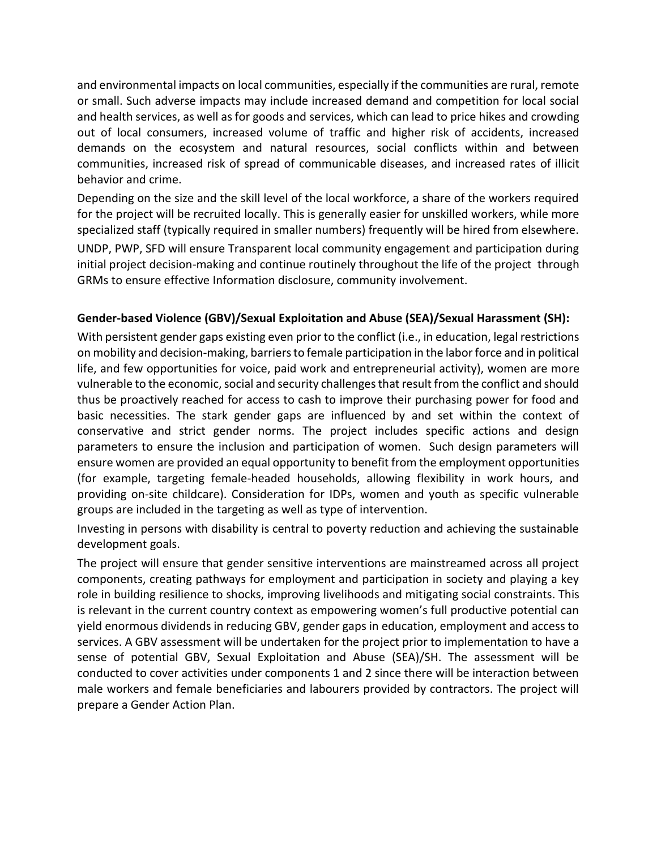and environmental impacts on local communities, especially if the communities are rural, remote or small. Such adverse impacts may include increased demand and competition for local social and health services, as well as for goods and services, which can lead to price hikes and crowding out of local consumers, increased volume of traffic and higher risk of accidents, increased demands on the ecosystem and natural resources, social conflicts within and between communities, increased risk of spread of communicable diseases, and increased rates of illicit behavior and crime.

Depending on the size and the skill level of the local workforce, a share of the workers required for the project will be recruited locally. This is generally easier for unskilled workers, while more specialized staff (typically required in smaller numbers) frequently will be hired from elsewhere.

UNDP, PWP, SFD will ensure Transparent local community engagement and participation during initial project decision-making and continue routinely throughout the life of the project through GRMs to ensure effective Information disclosure, community involvement.

### **Gender-based Violence (GBV)/Sexual Exploitation and Abuse (SEA)/Sexual Harassment (SH):**

With persistent gender gaps existing even prior to the conflict (i.e., in education, legal restrictions on mobility and decision-making, barriers to female participation in the labor force and in political life, and few opportunities for voice, paid work and entrepreneurial activity), women are more vulnerable to the economic, social and security challenges that result from the conflict and should thus be proactively reached for access to cash to improve their purchasing power for food and basic necessities. The stark gender gaps are influenced by and set within the context of conservative and strict gender norms. The project includes specific actions and design parameters to ensure the inclusion and participation of women. Such design parameters will ensure women are provided an equal opportunity to benefit from the employment opportunities (for example, targeting female-headed households, allowing flexibility in work hours, and providing on-site childcare). Consideration for IDPs, women and youth as specific vulnerable groups are included in the targeting as well as type of intervention.

Investing in persons with disability is central to poverty reduction and achieving the sustainable development goals.

The project will ensure that gender sensitive interventions are mainstreamed across all project components, creating pathways for employment and participation in society and playing a key role in building resilience to shocks, improving livelihoods and mitigating social constraints. This is relevant in the current country context as empowering women's full productive potential can yield enormous dividends in reducing GBV, gender gaps in education, employment and access to services. A GBV assessment will be undertaken for the project prior to implementation to have a sense of potential GBV, Sexual Exploitation and Abuse (SEA)/SH. The assessment will be conducted to cover activities under components 1 and 2 since there will be interaction between male workers and female beneficiaries and labourers provided by contractors. The project will prepare a Gender Action Plan.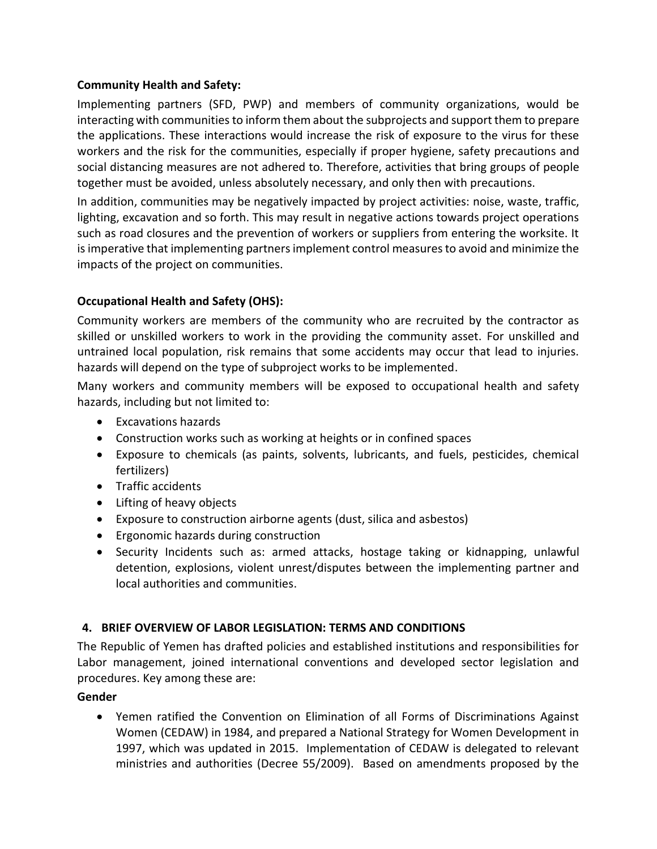### **Community Health and Safety:**

Implementing partners (SFD, PWP) and members of community organizations, would be interacting with communities to inform them about the subprojects and support them to prepare the applications. These interactions would increase the risk of exposure to the virus for these workers and the risk for the communities, especially if proper hygiene, safety precautions and social distancing measures are not adhered to. Therefore, activities that bring groups of people together must be avoided, unless absolutely necessary, and only then with precautions.

In addition, communities may be negatively impacted by project activities: noise, waste, traffic, lighting, excavation and so forth. This may result in negative actions towards project operations such as road closures and the prevention of workers or suppliers from entering the worksite. It is imperative that implementing partners implement control measures to avoid and minimize the impacts of the project on communities.

### **Occupational Health and Safety (OHS):**

Community workers are members of the community who are recruited by the contractor as skilled or unskilled workers to work in the providing the community asset. For unskilled and untrained local population, risk remains that some accidents may occur that lead to injuries. hazards will depend on the type of subproject works to be implemented.

Many workers and community members will be exposed to occupational health and safety hazards, including but not limited to:

- Excavations hazards
- Construction works such as working at heights or in confined spaces
- Exposure to chemicals (as paints, solvents, lubricants, and fuels, pesticides, chemical fertilizers)
- Traffic accidents
- Lifting of heavy objects
- Exposure to construction airborne agents (dust, silica and asbestos)
- Ergonomic hazards during construction
- Security Incidents such as: armed attacks, hostage taking or kidnapping, unlawful detention, explosions, violent unrest/disputes between the implementing partner and local authorities and communities.

### <span id="page-9-0"></span>**4. BRIEF OVERVIEW OF LABOR LEGISLATION: TERMS AND CONDITIONS**

The Republic of Yemen has drafted policies and established institutions and responsibilities for Labor management, joined international conventions and developed sector legislation and procedures. Key among these are:

### **Gender**

• Yemen ratified the Convention on Elimination of all Forms of Discriminations Against Women (CEDAW) in 1984, and prepared a National Strategy for Women Development in 1997, which was updated in 2015. Implementation of CEDAW is delegated to relevant ministries and authorities (Decree 55/2009). Based on amendments proposed by the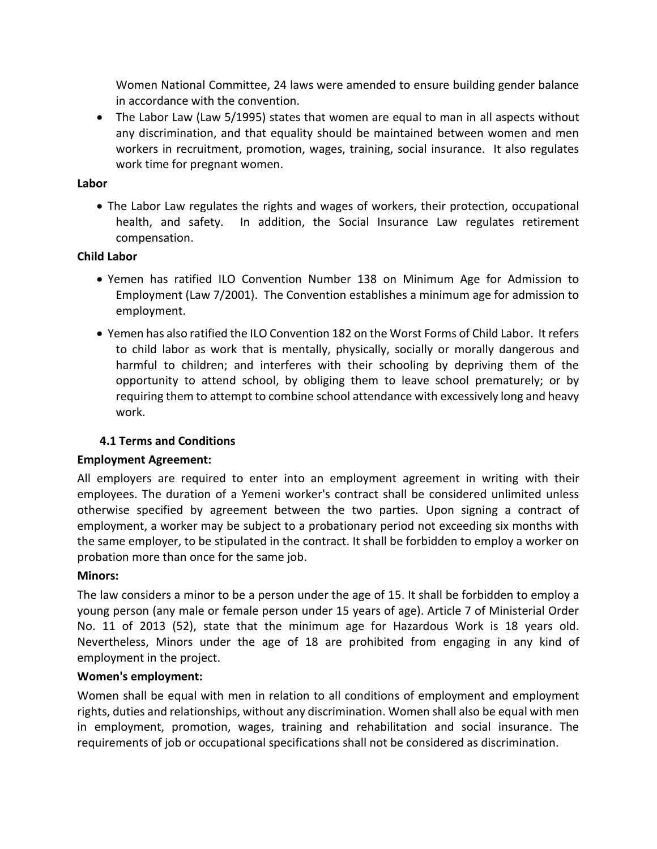Women National Committee, 24 laws were amended to ensure building gender balance in accordance with the convention.

• The Labor Law (Law 5/1995) states that women are equal to man in all aspects without any discrimination, and that equality should be maintained between women and men workers in recruitment, promotion, wages, training, social insurance. It also regulates work time for pregnant women.

#### **Labor**

• The Labor Law regulates the rights and wages of workers, their protection, occupational health, and safety. In addition, the Social Insurance Law regulates retirement compensation.

### **Child Labor**

- Yemen has ratified ILO Convention Number 138 on Minimum Age for Admission to Employment (Law 7/2001). The Convention establishes a minimum age for admission to employment.
- Yemen has also ratified the ILO Convention 182 on the Worst Forms of Child Labor. It refers to child labor as work that is mentally, physically, socially or morally dangerous and harmful to children; and interferes with their schooling by depriving them of the opportunity to attend school, by obliging them to leave school prematurely; or by requiring them to attempt to combine school attendance with excessively long and heavy work.

### **4.1 Terms and Conditions**

### **Employment Agreement:**

All employers are required to enter into an employment agreement in writing with their employees. The duration of a Yemeni worker's contract shall be considered unlimited unless otherwise specified by agreement between the two parties. Upon signing a contract of employment, a worker may be subject to a probationary period not exceeding six months with the same employer, to be stipulated in the contract. It shall be forbidden to employ a worker on probation more than once for the same job.

### **Minors:**

The law considers a minor to be a person under the age of 15. It shall be forbidden to employ a young person (any male or female person under 15 years of age). Article 7 of Ministerial Order No. 11 of 2013 (52), state that the minimum age for Hazardous Work is 18 years old. Nevertheless, Minors under the age of 18 are prohibited from engaging in any kind of employment in the project.

### **Women's employment:**

Women shall be equal with men in relation to all conditions of employment and employment rights, duties and relationships, without any discrimination. Women shall also be equal with men in employment, promotion, wages, training and rehabilitation and social insurance. The requirements of job or occupational specifications shall not be considered as discrimination.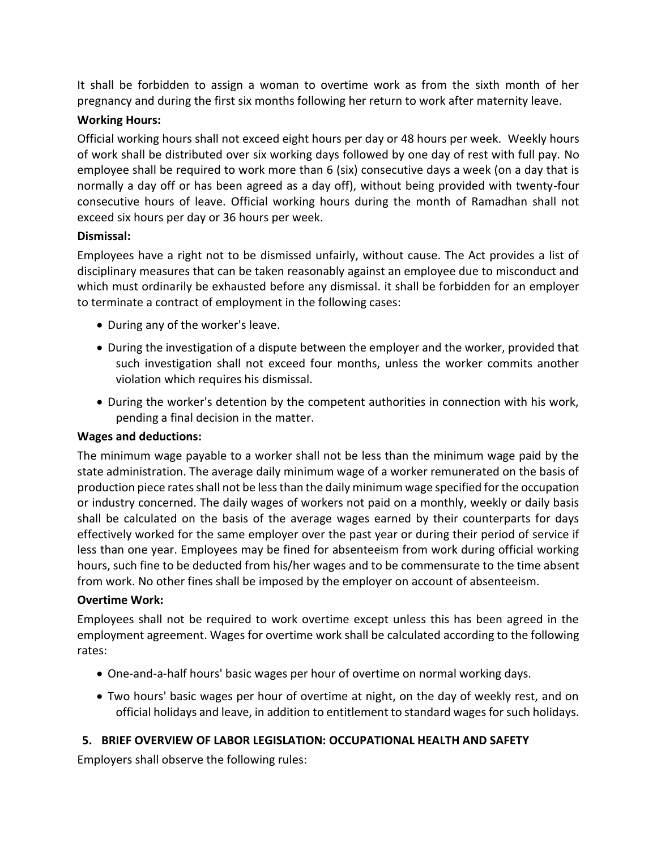It shall be forbidden to assign a woman to overtime work as from the sixth month of her pregnancy and during the first six months following her return to work after maternity leave.

#### **Working Hours:**

Official working hours shall not exceed eight hours per day or 48 hours per week. Weekly hours of work shall be distributed over six working days followed by one day of rest with full pay. No employee shall be required to work more than 6 (six) consecutive days a week (on a day that is normally a day off or has been agreed as a day off), without being provided with twenty-four consecutive hours of leave. Official working hours during the month of Ramadhan shall not exceed six hours per day or 36 hours per week.

#### **Dismissal:**

Employees have a right not to be dismissed unfairly, without cause. The Act provides a list of disciplinary measures that can be taken reasonably against an employee due to misconduct and which must ordinarily be exhausted before any dismissal. it shall be forbidden for an employer to terminate a contract of employment in the following cases:

- During any of the worker's leave.
- During the investigation of a dispute between the employer and the worker, provided that such investigation shall not exceed four months, unless the worker commits another violation which requires his dismissal.
- During the worker's detention by the competent authorities in connection with his work, pending a final decision in the matter.

#### **Wages and deductions:**

The minimum wage payable to a worker shall not be less than the minimum wage paid by the state administration. The average daily minimum wage of a worker remunerated on the basis of production piece rates shall not be less than the daily minimum wage specified for the occupation or industry concerned. The daily wages of workers not paid on a monthly, weekly or daily basis shall be calculated on the basis of the average wages earned by their counterparts for days effectively worked for the same employer over the past year or during their period of service if less than one year. Employees may be fined for absenteeism from work during official working hours, such fine to be deducted from his/her wages and to be commensurate to the time absent from work. No other fines shall be imposed by the employer on account of absenteeism.

#### **Overtime Work:**

Employees shall not be required to work overtime except unless this has been agreed in the employment agreement. Wages for overtime work shall be calculated according to the following rates:

- One-and-a-half hours' basic wages per hour of overtime on normal working days.
- Two hours' basic wages per hour of overtime at night, on the day of weekly rest, and on official holidays and leave, in addition to entitlement to standard wages for such holidays.

### <span id="page-11-0"></span>**5. BRIEF OVERVIEW OF LABOR LEGISLATION: OCCUPATIONAL HEALTH AND SAFETY**

Employers shall observe the following rules: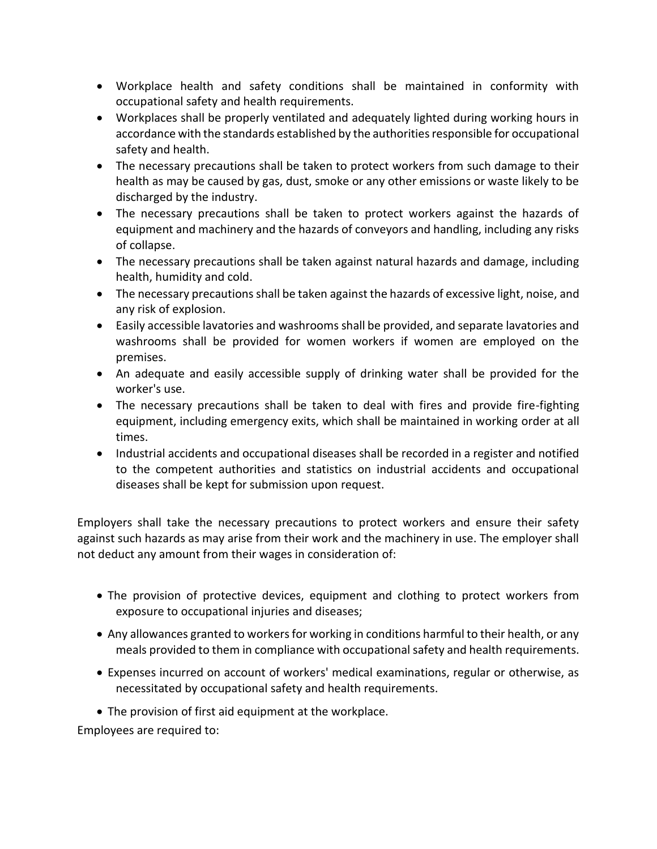- Workplace health and safety conditions shall be maintained in conformity with occupational safety and health requirements.
- Workplaces shall be properly ventilated and adequately lighted during working hours in accordance with the standards established by the authorities responsible for occupational safety and health.
- The necessary precautions shall be taken to protect workers from such damage to their health as may be caused by gas, dust, smoke or any other emissions or waste likely to be discharged by the industry.
- The necessary precautions shall be taken to protect workers against the hazards of equipment and machinery and the hazards of conveyors and handling, including any risks of collapse.
- The necessary precautions shall be taken against natural hazards and damage, including health, humidity and cold.
- The necessary precautions shall be taken against the hazards of excessive light, noise, and any risk of explosion.
- Easily accessible lavatories and washrooms shall be provided, and separate lavatories and washrooms shall be provided for women workers if women are employed on the premises.
- An adequate and easily accessible supply of drinking water shall be provided for the worker's use.
- The necessary precautions shall be taken to deal with fires and provide fire-fighting equipment, including emergency exits, which shall be maintained in working order at all times.
- Industrial accidents and occupational diseases shall be recorded in a register and notified to the competent authorities and statistics on industrial accidents and occupational diseases shall be kept for submission upon request.

Employers shall take the necessary precautions to protect workers and ensure their safety against such hazards as may arise from their work and the machinery in use. The employer shall not deduct any amount from their wages in consideration of:

- The provision of protective devices, equipment and clothing to protect workers from exposure to occupational injuries and diseases;
- Any allowances granted to workers for working in conditions harmful to their health, or any meals provided to them in compliance with occupational safety and health requirements.
- Expenses incurred on account of workers' medical examinations, regular or otherwise, as necessitated by occupational safety and health requirements.
- The provision of first aid equipment at the workplace.

Employees are required to: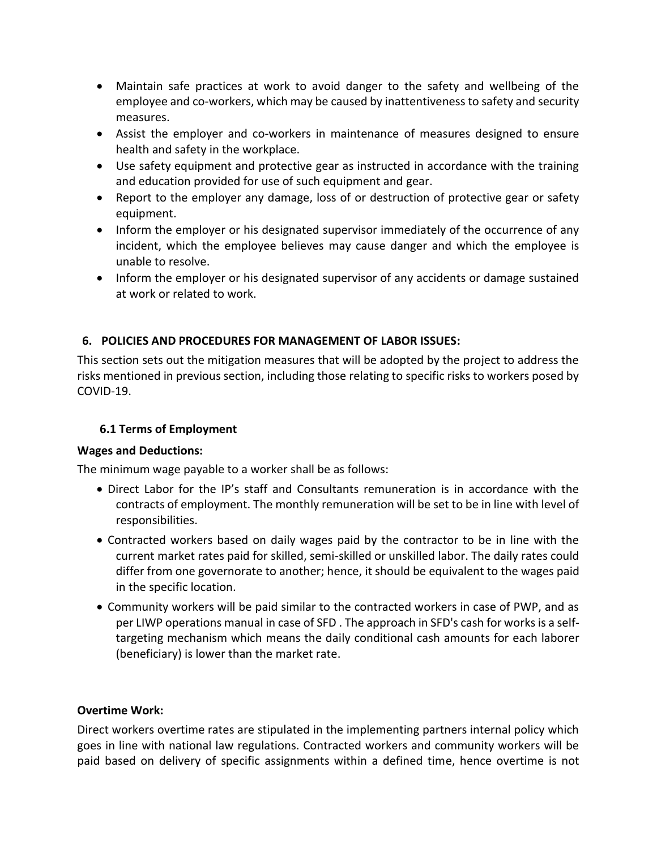- Maintain safe practices at work to avoid danger to the safety and wellbeing of the employee and co-workers, which may be caused by inattentiveness to safety and security measures.
- Assist the employer and co-workers in maintenance of measures designed to ensure health and safety in the workplace.
- Use safety equipment and protective gear as instructed in accordance with the training and education provided for use of such equipment and gear.
- Report to the employer any damage, loss of or destruction of protective gear or safety equipment.
- Inform the employer or his designated supervisor immediately of the occurrence of any incident, which the employee believes may cause danger and which the employee is unable to resolve.
- Inform the employer or his designated supervisor of any accidents or damage sustained at work or related to work.

# <span id="page-13-0"></span>**6. POLICIES AND PROCEDURES FOR MANAGEMENT OF LABOR ISSUES:**

This section sets out the mitigation measures that will be adopted by the project to address the risks mentioned in previous section, including those relating to specific risks to workers posed by COVID-19.

### **6.1 Terms of Employment**

#### **Wages and Deductions:**

The minimum wage payable to a worker shall be as follows:

- Direct Labor for the IP's staff and Consultants remuneration is in accordance with the contracts of employment. The monthly remuneration will be set to be in line with level of responsibilities.
- Contracted workers based on daily wages paid by the contractor to be in line with the current market rates paid for skilled, semi-skilled or unskilled labor. The daily rates could differ from one governorate to another; hence, it should be equivalent to the wages paid in the specific location.
- Community workers will be paid similar to the contracted workers in case of PWP, and as per LIWP operations manual in case of SFD . The approach in SFD's cash for works is a selftargeting mechanism which means the daily conditional cash amounts for each laborer (beneficiary) is lower than the market rate.

### **Overtime Work:**

Direct workers overtime rates are stipulated in the implementing partners internal policy which goes in line with national law regulations. Contracted workers and community workers will be paid based on delivery of specific assignments within a defined time, hence overtime is not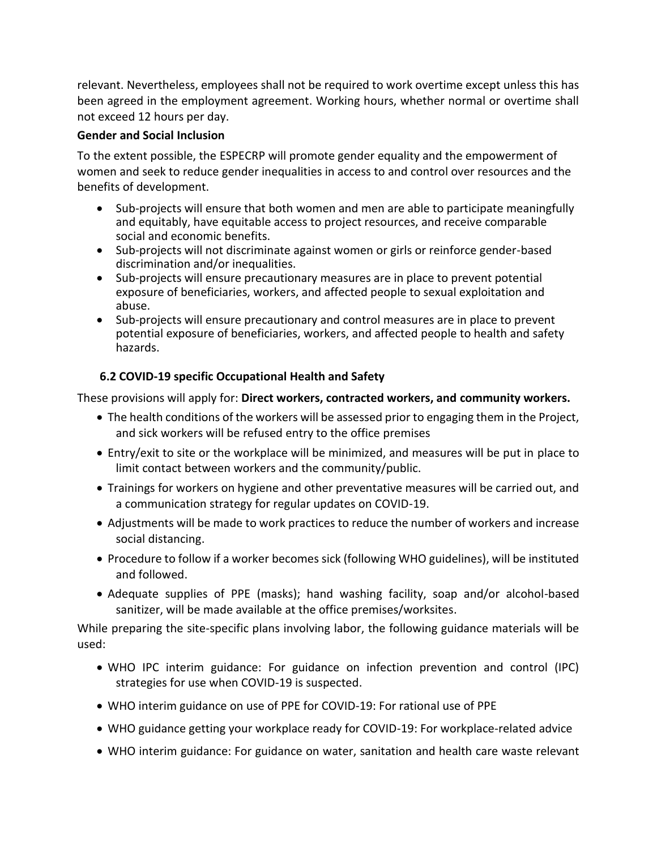relevant. Nevertheless, employees shall not be required to work overtime except unless this has been agreed in the employment agreement. Working hours, whether normal or overtime shall not exceed 12 hours per day.

#### **Gender and Social Inclusion**

To the extent possible, the ESPECRP will promote gender equality and the empowerment of women and seek to reduce gender inequalities in access to and control over resources and the benefits of development.

- Sub-projects will ensure that both women and men are able to participate meaningfully and equitably, have equitable access to project resources, and receive comparable social and economic benefits.
- Sub-projects will not discriminate against women or girls or reinforce gender-based discrimination and/or inequalities.
- Sub-projects will ensure precautionary measures are in place to prevent potential exposure of beneficiaries, workers, and affected people to sexual exploitation and abuse.
- Sub-projects will ensure precautionary and control measures are in place to prevent potential exposure of beneficiaries, workers, and affected people to health and safety hazards.

### **6.2 COVID-19 specific Occupational Health and Safety**

These provisions will apply for: **Direct workers, contracted workers, and community workers.**

- The health conditions of the workers will be assessed prior to engaging them in the Project, and sick workers will be refused entry to the office premises
- Entry/exit to site or the workplace will be minimized, and measures will be put in place to limit contact between workers and the community/public.
- Trainings for workers on hygiene and other preventative measures will be carried out, and a communication strategy for regular updates on COVID-19.
- Adjustments will be made to work practices to reduce the number of workers and increase social distancing.
- Procedure to follow if a worker becomes sick (following WHO guidelines), will be instituted and followed.
- Adequate supplies of PPE (masks); hand washing facility, soap and/or alcohol-based sanitizer, will be made available at the office premises/worksites.

While preparing the site-specific plans involving labor, the following guidance materials will be used:

- WHO IPC interim guidance: For guidance on infection prevention and control (IPC) strategies for use when COVID-19 is suspected.
- WHO interim guidance on use of PPE for COVID-19: For rational use of PPE
- WHO guidance getting your workplace ready for COVID-19: For workplace-related advice
- WHO interim guidance: For guidance on water, sanitation and health care waste relevant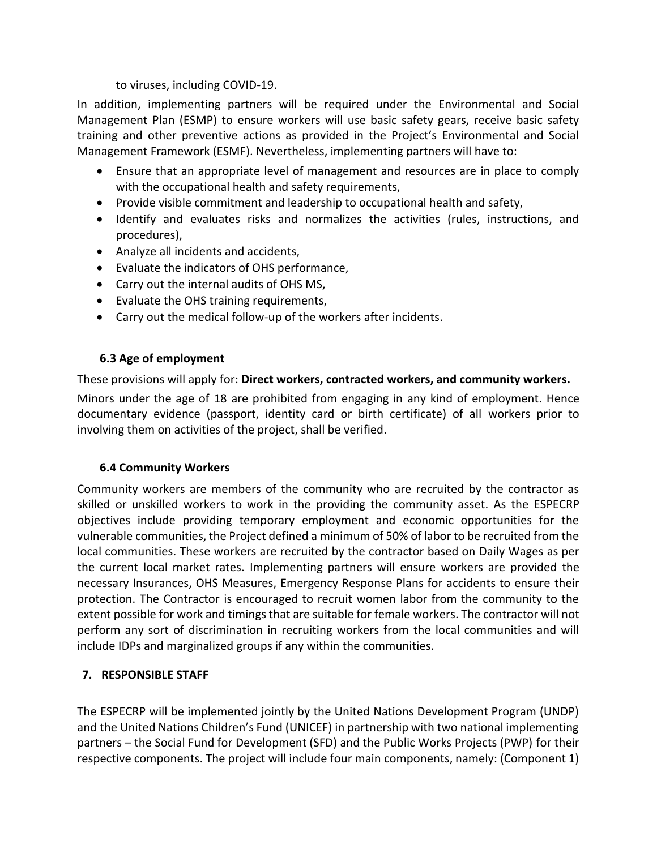to viruses, including COVID-19.

In addition, implementing partners will be required under the Environmental and Social Management Plan (ESMP) to ensure workers will use basic safety gears, receive basic safety training and other preventive actions as provided in the Project's Environmental and Social Management Framework (ESMF). Nevertheless, implementing partners will have to:

- Ensure that an appropriate level of management and resources are in place to comply with the occupational health and safety requirements,
- Provide visible commitment and leadership to occupational health and safety,
- Identify and evaluates risks and normalizes the activities (rules, instructions, and procedures),
- Analyze all incidents and accidents,
- Evaluate the indicators of OHS performance,
- Carry out the internal audits of OHS MS,
- Evaluate the OHS training requirements,
- Carry out the medical follow-up of the workers after incidents.

### **6.3 Age of employment**

These provisions will apply for: **Direct workers, contracted workers, and community workers.**

Minors under the age of 18 are prohibited from engaging in any kind of employment. Hence documentary evidence (passport, identity card or birth certificate) of all workers prior to involving them on activities of the project, shall be verified.

### **6.4 Community Workers**

Community workers are members of the community who are recruited by the contractor as skilled or unskilled workers to work in the providing the community asset. As the ESPECRP objectives include providing temporary employment and economic opportunities for the vulnerable communities, the Project defined a minimum of 50% of labor to be recruited from the local communities. These workers are recruited by the contractor based on Daily Wages as per the current local market rates. Implementing partners will ensure workers are provided the necessary Insurances, OHS Measures, Emergency Response Plans for accidents to ensure their protection. The Contractor is encouraged to recruit women labor from the community to the extent possible for work and timings that are suitable for female workers. The contractor will not perform any sort of discrimination in recruiting workers from the local communities and will include IDPs and marginalized groups if any within the communities.

### <span id="page-15-0"></span>**7. RESPONSIBLE STAFF**

The ESPECRP will be implemented jointly by the United Nations Development Program (UNDP) and the United Nations Children's Fund (UNICEF) in partnership with two national implementing partners – the Social Fund for Development (SFD) and the Public Works Projects (PWP) for their respective components. The project will include four main components, namely: (Component 1)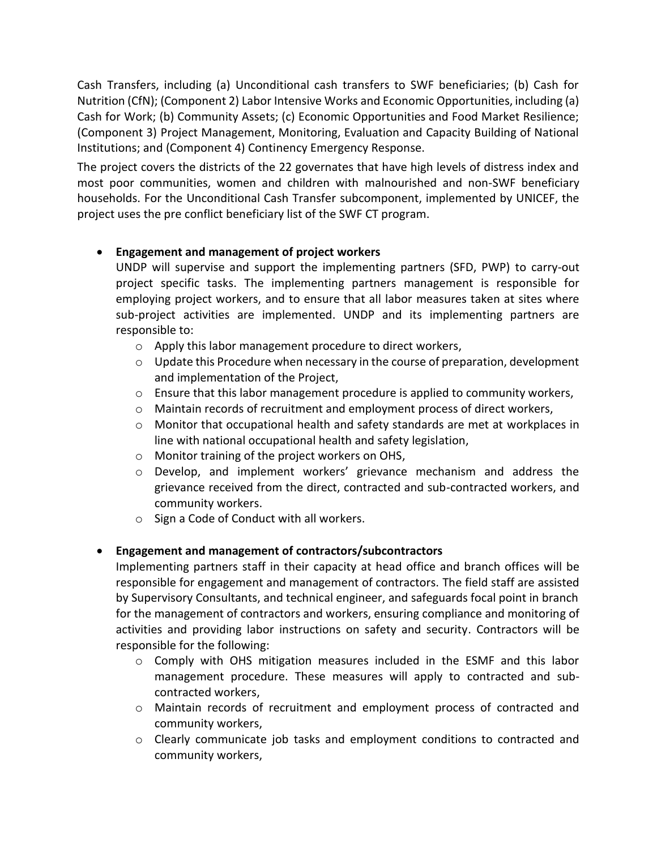Cash Transfers, including (a) Unconditional cash transfers to SWF beneficiaries; (b) Cash for Nutrition (CfN); (Component 2) Labor Intensive Works and Economic Opportunities, including (a) Cash for Work; (b) Community Assets; (c) Economic Opportunities and Food Market Resilience; (Component 3) Project Management, Monitoring, Evaluation and Capacity Building of National Institutions; and (Component 4) Continency Emergency Response.

The project covers the districts of the 22 governates that have high levels of distress index and most poor communities, women and children with malnourished and non-SWF beneficiary households. For the Unconditional Cash Transfer subcomponent, implemented by UNICEF, the project uses the pre conflict beneficiary list of the SWF CT program.

### • **Engagement and management of project workers**

UNDP will supervise and support the implementing partners (SFD, PWP) to carry-out project specific tasks. The implementing partners management is responsible for employing project workers, and to ensure that all labor measures taken at sites where sub-project activities are implemented. UNDP and its implementing partners are responsible to:

- o Apply this labor management procedure to direct workers,
- $\circ$  Update this Procedure when necessary in the course of preparation, development and implementation of the Project,
- $\circ$  Ensure that this labor management procedure is applied to community workers,
- $\circ$  Maintain records of recruitment and employment process of direct workers,
- o Monitor that occupational health and safety standards are met at workplaces in line with national occupational health and safety legislation,
- o Monitor training of the project workers on OHS,
- $\circ$  Develop, and implement workers' grievance mechanism and address the grievance received from the direct, contracted and sub-contracted workers, and community workers.
- o Sign a Code of Conduct with all workers.

# • **Engagement and management of contractors/subcontractors**

Implementing partners staff in their capacity at head office and branch offices will be responsible for engagement and management of contractors. The field staff are assisted by Supervisory Consultants, and technical engineer, and safeguards focal point in branch for the management of contractors and workers, ensuring compliance and monitoring of activities and providing labor instructions on safety and security. Contractors will be responsible for the following:

- $\circ$  Comply with OHS mitigation measures included in the ESMF and this labor management procedure. These measures will apply to contracted and subcontracted workers,
- o Maintain records of recruitment and employment process of contracted and community workers,
- $\circ$  Clearly communicate job tasks and employment conditions to contracted and community workers,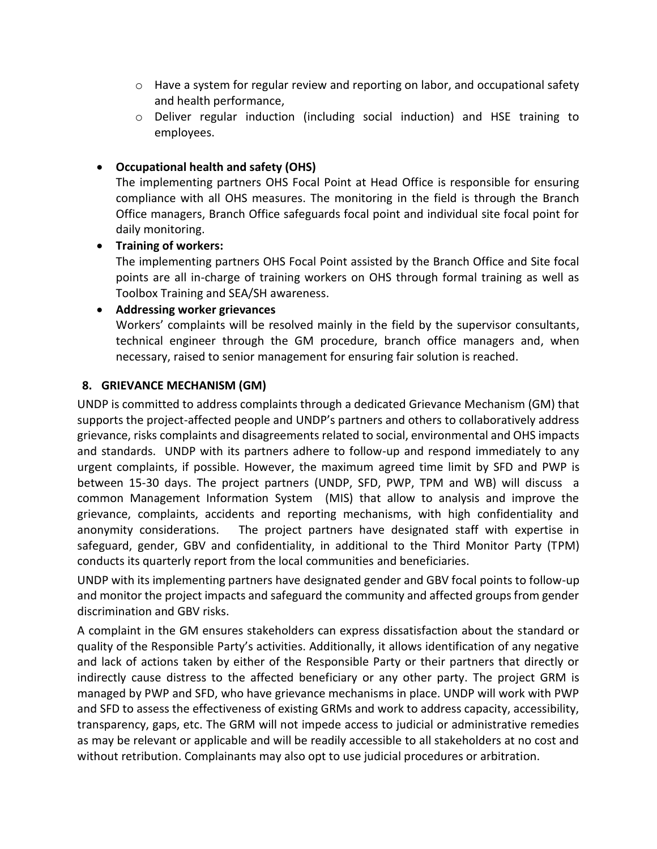- $\circ$  Have a system for regular review and reporting on labor, and occupational safety and health performance,
- $\circ$  Deliver regular induction (including social induction) and HSE training to employees.

# • **Occupational health and safety (OHS)**

The implementing partners OHS Focal Point at Head Office is responsible for ensuring compliance with all OHS measures. The monitoring in the field is through the Branch Office managers, Branch Office safeguards focal point and individual site focal point for daily monitoring.

#### • **Training of workers:**

The implementing partners OHS Focal Point assisted by the Branch Office and Site focal points are all in-charge of training workers on OHS through formal training as well as Toolbox Training and SEA/SH awareness.

#### • **Addressing worker grievances**

Workers' complaints will be resolved mainly in the field by the supervisor consultants, technical engineer through the GM procedure, branch office managers and, when necessary, raised to senior management for ensuring fair solution is reached.

### <span id="page-17-0"></span>**8. GRIEVANCE MECHANISM (GM)**

UNDP is committed to address complaints through a dedicated Grievance Mechanism (GM) that supports the project-affected people and UNDP's partners and others to collaboratively address grievance, risks complaints and disagreements related to social, environmental and OHS impacts and standards. UNDP with its partners adhere to follow-up and respond immediately to any urgent complaints, if possible. However, the maximum agreed time limit by SFD and PWP is between 15-30 days. The project partners (UNDP, SFD, PWP, TPM and WB) will discuss a common Management Information System (MIS) that allow to analysis and improve the grievance, complaints, accidents and reporting mechanisms, with high confidentiality and anonymity considerations. The project partners have designated staff with expertise in safeguard, gender, GBV and confidentiality, in additional to the Third Monitor Party (TPM) conducts its quarterly report from the local communities and beneficiaries.

UNDP with its implementing partners have designated gender and GBV focal points to follow-up and monitor the project impacts and safeguard the community and affected groups from gender discrimination and GBV risks.

A complaint in the GM ensures stakeholders can express dissatisfaction about the standard or quality of the Responsible Party's activities. Additionally, it allows identification of any negative and lack of actions taken by either of the Responsible Party or their partners that directly or indirectly cause distress to the affected beneficiary or any other party. The project GRM is managed by PWP and SFD, who have grievance mechanisms in place. UNDP will work with PWP and SFD to assess the effectiveness of existing GRMs and work to address capacity, accessibility, transparency, gaps, etc. The GRM will not impede access to judicial or administrative remedies as may be relevant or applicable and will be readily accessible to all stakeholders at no cost and without retribution. Complainants may also opt to use judicial procedures or arbitration.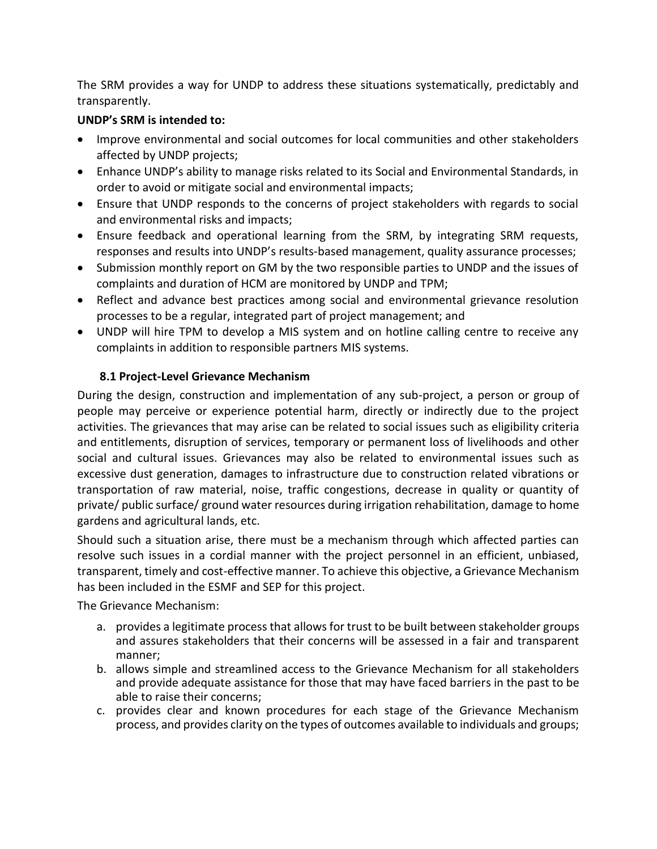The SRM provides a way for UNDP to address these situations systematically, predictably and transparently.

### **UNDP's SRM is intended to:**

- Improve environmental and social outcomes for local communities and other stakeholders affected by UNDP projects;
- Enhance UNDP's ability to manage risks related to its Social and Environmental Standards, in order to avoid or mitigate social and environmental impacts;
- Ensure that UNDP responds to the concerns of project stakeholders with regards to social and environmental risks and impacts;
- Ensure feedback and operational learning from the SRM, by integrating SRM requests, responses and results into UNDP's results-based management, quality assurance processes;
- Submission monthly report on GM by the two responsible parties to UNDP and the issues of complaints and duration of HCM are monitored by UNDP and TPM;
- Reflect and advance best practices among social and environmental grievance resolution processes to be a regular, integrated part of project management; and
- UNDP will hire TPM to develop a MIS system and on hotline calling centre to receive any complaints in addition to responsible partners MIS systems.

### <span id="page-18-0"></span>**8.1 Project-Level Grievance Mechanism**

During the design, construction and implementation of any sub-project, a person or group of people may perceive or experience potential harm, directly or indirectly due to the project activities. The grievances that may arise can be related to social issues such as eligibility criteria and entitlements, disruption of services, temporary or permanent loss of livelihoods and other social and cultural issues. Grievances may also be related to environmental issues such as excessive dust generation, damages to infrastructure due to construction related vibrations or transportation of raw material, noise, traffic congestions, decrease in quality or quantity of private/ public surface/ ground water resources during irrigation rehabilitation, damage to home gardens and agricultural lands, etc.

Should such a situation arise, there must be a mechanism through which affected parties can resolve such issues in a cordial manner with the project personnel in an efficient, unbiased, transparent, timely and cost-effective manner. To achieve this objective, a Grievance Mechanism has been included in the ESMF and SEP for this project.

The Grievance Mechanism:

- a. provides a legitimate process that allows for trust to be built between stakeholder groups and assures stakeholders that their concerns will be assessed in a fair and transparent manner;
- b. allows simple and streamlined access to the Grievance Mechanism for all stakeholders and provide adequate assistance for those that may have faced barriers in the past to be able to raise their concerns;
- c. provides clear and known procedures for each stage of the Grievance Mechanism process, and provides clarity on the types of outcomes available to individuals and groups;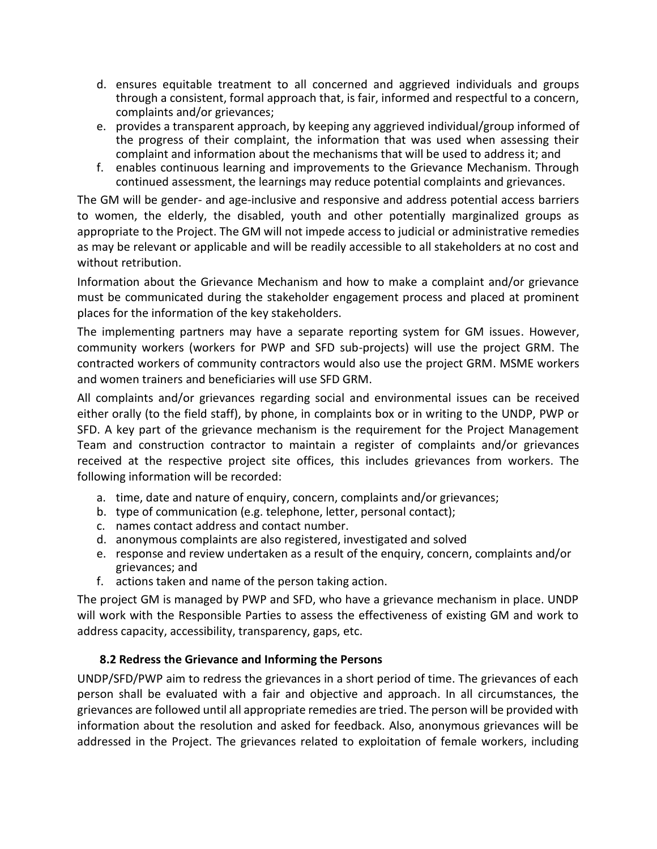- d. ensures equitable treatment to all concerned and aggrieved individuals and groups through a consistent, formal approach that, is fair, informed and respectful to a concern, complaints and/or grievances;
- e. provides a transparent approach, by keeping any aggrieved individual/group informed of the progress of their complaint, the information that was used when assessing their complaint and information about the mechanisms that will be used to address it; and
- f. enables continuous learning and improvements to the Grievance Mechanism. Through continued assessment, the learnings may reduce potential complaints and grievances.

The GM will be gender- and age-inclusive and responsive and address potential access barriers to women, the elderly, the disabled, youth and other potentially marginalized groups as appropriate to the Project. The GM will not impede access to judicial or administrative remedies as may be relevant or applicable and will be readily accessible to all stakeholders at no cost and without retribution.

Information about the Grievance Mechanism and how to make a complaint and/or grievance must be communicated during the stakeholder engagement process and placed at prominent places for the information of the key stakeholders.

The implementing partners may have a separate reporting system for GM issues. However, community workers (workers for PWP and SFD sub-projects) will use the project GRM. The contracted workers of community contractors would also use the project GRM. MSME workers and women trainers and beneficiaries will use SFD GRM.

All complaints and/or grievances regarding social and environmental issues can be received either orally (to the field staff), by phone, in complaints box or in writing to the UNDP, PWP or SFD. A key part of the grievance mechanism is the requirement for the Project Management Team and construction contractor to maintain a register of complaints and/or grievances received at the respective project site offices, this includes grievances from workers. The following information will be recorded:

- a. time, date and nature of enquiry, concern, complaints and/or grievances;
- b. type of communication (e.g. telephone, letter, personal contact);
- c. names contact address and contact number.
- d. anonymous complaints are also registered, investigated and solved
- e. response and review undertaken as a result of the enquiry, concern, complaints and/or grievances; and
- f. actions taken and name of the person taking action.

The project GM is managed by PWP and SFD, who have a grievance mechanism in place. UNDP will work with the Responsible Parties to assess the effectiveness of existing GM and work to address capacity, accessibility, transparency, gaps, etc.

### <span id="page-19-0"></span>**8.2 Redress the Grievance and Informing the Persons**

UNDP/SFD/PWP aim to redress the grievances in a short period of time. The grievances of each person shall be evaluated with a fair and objective and approach. In all circumstances, the grievances are followed until all appropriate remedies are tried. The person will be provided with information about the resolution and asked for feedback. Also, anonymous grievances will be addressed in the Project. The grievances related to exploitation of female workers, including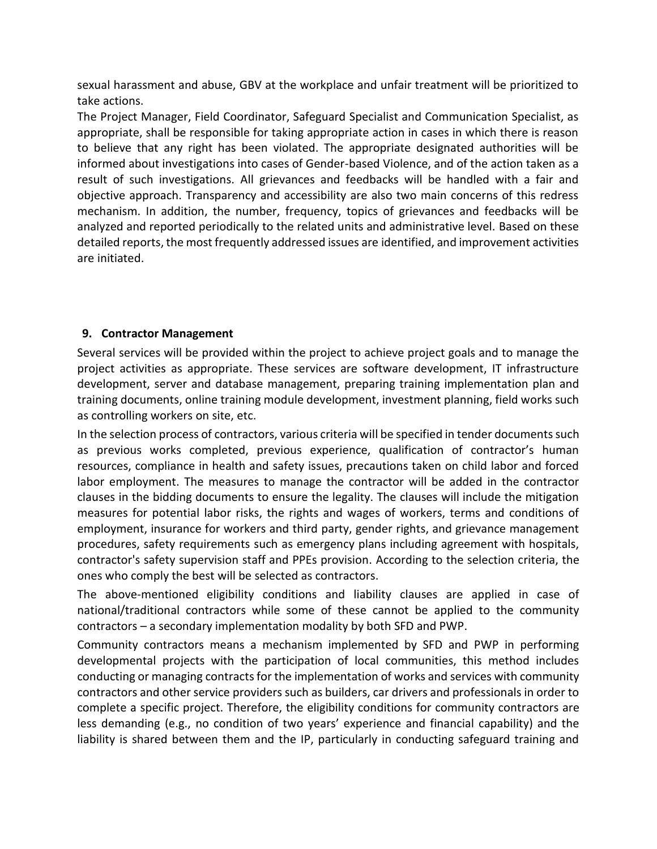sexual harassment and abuse, GBV at the workplace and unfair treatment will be prioritized to take actions.

The Project Manager, Field Coordinator, Safeguard Specialist and Communication Specialist, as appropriate, shall be responsible for taking appropriate action in cases in which there is reason to believe that any right has been violated. The appropriate designated authorities will be informed about investigations into cases of Gender-based Violence, and of the action taken as a result of such investigations. All grievances and feedbacks will be handled with a fair and objective approach. Transparency and accessibility are also two main concerns of this redress mechanism. In addition, the number, frequency, topics of grievances and feedbacks will be analyzed and reported periodically to the related units and administrative level. Based on these detailed reports, the most frequently addressed issues are identified, and improvement activities are initiated.

### <span id="page-20-0"></span>**9. Contractor Management**

Several services will be provided within the project to achieve project goals and to manage the project activities as appropriate. These services are software development, IT infrastructure development, server and database management, preparing training implementation plan and training documents, online training module development, investment planning, field works such as controlling workers on site, etc.

In the selection process of contractors, various criteria will be specified in tender documents such as previous works completed, previous experience, qualification of contractor's human resources, compliance in health and safety issues, precautions taken on child labor and forced labor employment. The measures to manage the contractor will be added in the contractor clauses in the bidding documents to ensure the legality. The clauses will include the mitigation measures for potential labor risks, the rights and wages of workers, terms and conditions of employment, insurance for workers and third party, gender rights, and grievance management procedures, safety requirements such as emergency plans including agreement with hospitals, contractor's safety supervision staff and PPEs provision. According to the selection criteria, the ones who comply the best will be selected as contractors.

The above-mentioned eligibility conditions and liability clauses are applied in case of national/traditional contractors while some of these cannot be applied to the community contractors – a secondary implementation modality by both SFD and PWP.

Community contractors means a mechanism implemented by SFD and PWP in performing developmental projects with the participation of local communities, this method includes conducting or managing contracts for the implementation of works and services with community contractors and other service providers such as builders, car drivers and professionals in order to complete a specific project. Therefore, the eligibility conditions for community contractors are less demanding (e.g., no condition of two years' experience and financial capability) and the liability is shared between them and the IP, particularly in conducting safeguard training and